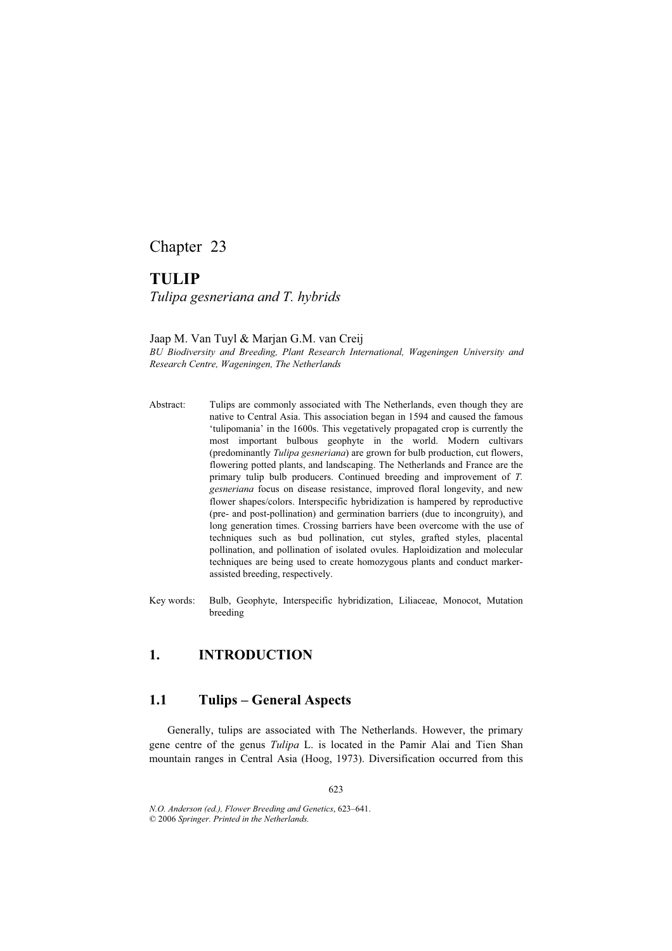Chapter 23

# **TULIP**

*Tulipa gesneriana and T. hybrids* 

#### Jaap M. Van Tuyl & Marjan G.M. van Creij

*BU Biodiversity and Breeding, Plant Research International, Wageningen University and Research Centre, Wageningen, The Netherlands*

- Abstract: Tulips are commonly associated with The Netherlands, even though they are native to Central Asia. This association began in 1594 and caused the famous 'tulipomania' in the 1600s. This vegetatively propagated crop is currently the most important bulbous geophyte in the world. Modern cultivars (predominantly *Tulipa gesneriana*) are grown for bulb production, cut flowers, flowering potted plants, and landscaping. The Netherlands and France are the primary tulip bulb producers. Continued breeding and improvement of *T. gesneriana* focus on disease resistance, improved floral longevity, and new flower shapes/colors. Interspecific hybridization is hampered by reproductive (pre- and post-pollination) and germination barriers (due to incongruity), and long generation times. Crossing barriers have been overcome with the use of techniques such as bud pollination, cut styles, grafted styles, placental pollination, and pollination of isolated ovules. Haploidization and molecular techniques are being used to create homozygous plants and conduct markerassisted breeding, respectively.
- Key words: Bulb, Geophyte, Interspecific hybridization, Liliaceae, Monocot, Mutation breeding

# **1. INTRODUCTION**

# **1.1 Tulips – General Aspects**

Generally, tulips are associated with The Netherlands. However, the primary gene centre of the genus *Tulipa* L. is located in the Pamir Alai and Tien Shan mountain ranges in Central Asia (Hoog, 1973). Diversification occurred from this

623

<sup>© 2006</sup> *Springer. Printed in the Netherlands. N.O. Anderson (ed.), Flower Breeding and Genetics*, 623–641.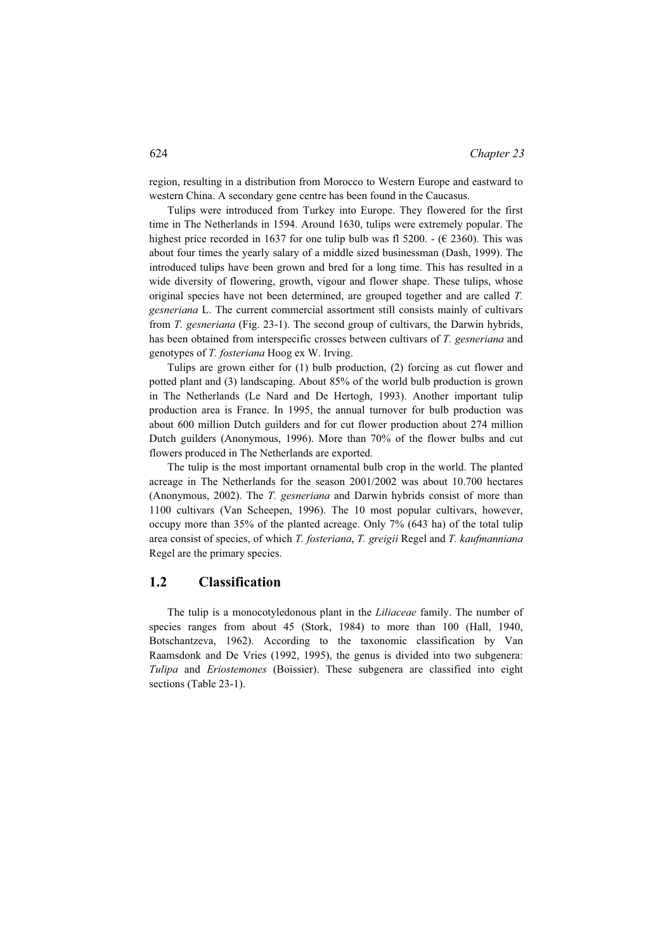region, resulting in a distribution from Morocco to Western Europe and eastward to western China. A secondary gene centre has been found in the Caucasus.

Tulips were introduced from Turkey into Europe. They flowered for the first time in The Netherlands in 1594. Around 1630, tulips were extremely popular. The highest price recorded in 1637 for one tulip bulb was fl 5200. - ( $\epsilon$  2360). This was about four times the yearly salary of a middle sized businessman (Dash, 1999). The introduced tulips have been grown and bred for a long time. This has resulted in a wide diversity of flowering, growth, vigour and flower shape. These tulips, whose original species have not been determined, are grouped together and are called *T. gesneriana* L. The current commercial assortment still consists mainly of cultivars from *T. gesneriana* (Fig. 23-1). The second group of cultivars, the Darwin hybrids, has been obtained from interspecific crosses between cultivars of *T. gesneriana* and genotypes of *T. fosteriana* Hoog ex W. Irving.

Tulips are grown either for (1) bulb production, (2) forcing as cut flower and potted plant and (3) landscaping. About 85% of the world bulb production is grown in The Netherlands (Le Nard and De Hertogh, 1993). Another important tulip production area is France. In 1995, the annual turnover for bulb production was about 600 million Dutch guilders and for cut flower production about 274 million Dutch guilders (Anonymous, 1996). More than 70% of the flower bulbs and cut flowers produced in The Netherlands are exported.

The tulip is the most important ornamental bulb crop in the world. The planted acreage in The Netherlands for the season 2001/2002 was about 10.700 hectares (Anonymous, 2002). The *T. gesneriana* and Darwin hybrids consist of more than 1100 cultivars (Van Scheepen, 1996). The 10 most popular cultivars, however, occupy more than 35% of the planted acreage. Only 7% (643 ha) of the total tulip area consist of species, of which *T. fosteriana*, *T. greigii* Regel and *T. kaufmanniana* Regel are the primary species.

#### **1.2 Classification**

The tulip is a monocotyledonous plant in the *Liliaceae* family. The number of species ranges from about 45 (Stork, 1984) to more than 100 (Hall, 1940, Botschantzeva, 1962). According to the taxonomic classification by Van Raamsdonk and De Vries (1992, 1995), the genus is divided into two subgenera: *Tulipa* and *Eriostemones* (Boissier). These subgenera are classified into eight sections (Table 23-1).

624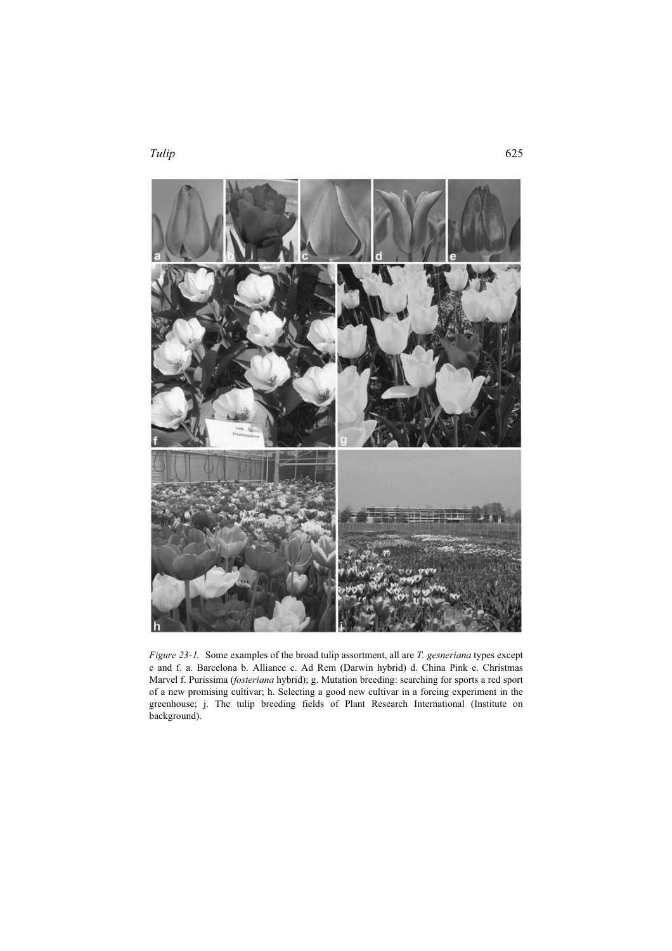



*Figure 23-1.* Some examples of the broad tulip assortment, all are *T. gesneriana* types except c and f. a. Barcelona b. Alliance c. Ad Rem (Darwin hybrid) d. China Pink e. Christmas Marvel f. Purissima (*fosteriana* hybrid); g. Mutation breeding: searching for sports a red sport of a new promising cultivar; h. Selecting a good new cultivar in a forcing experiment in the greenhouse; j. The tulip breeding fields of Plant Research International (Institute on background).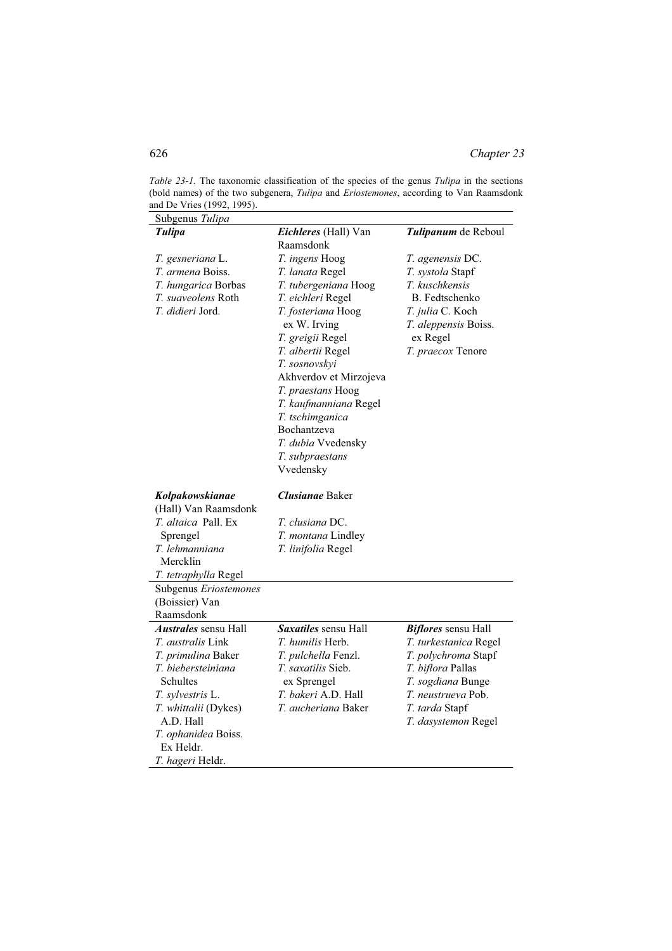*Table 23-1.* The taxonomic classification of the species of the genus *Tulipa* in the sections (bold names) of the two subgenera, *Tulipa* and *Eriostemones*, according to Van Raamsdonk and De Vries (1992, 1995).

| Subgenus Tulipa            |                                    |                                          |
|----------------------------|------------------------------------|------------------------------------------|
| Tulipa                     | Eichleres (Hall) Van               | Tulipanum de Reboul                      |
|                            | Raamsdonk                          |                                          |
| T. gesneriana L.           | T. ingens Hoog                     | T. agenensis DC.                         |
| <i>T. armena</i> Boiss.    | T. lanata Regel                    | T. systola Stapf                         |
| <i>T. hungarica</i> Borbas | T. tubergeniana Hoog               | T. kuschkensis                           |
| <i>T. suaveolens</i> Roth  | T. eichleri Regel                  | B. Fedtschenko                           |
| <i>T. didieri</i> Jord.    | T. fosteriana Hoog<br>ex W. Irving | T. julia C. Koch<br>T. aleppensis Boiss. |
|                            | T. greigii Regel                   | ex Regel                                 |
|                            | T. albertii Regel                  | T. praecox Tenore                        |
|                            | T. sosnovskyi                      |                                          |
|                            | Akhverdov et Mirzojeva             |                                          |
|                            | T. praestans Hoog                  |                                          |
|                            | T. kaufmanniana Regel              |                                          |
|                            | T. tschimganica                    |                                          |
|                            | Bochantzeva                        |                                          |
|                            | T. dubia Vvedensky                 |                                          |
|                            | T. subpraestans                    |                                          |
|                            | Vvedensky                          |                                          |
|                            |                                    |                                          |
| Kolpakowskianae            | <i><b>Clusianae Baker</b></i>      |                                          |
| (Hall) Van Raamsdonk       |                                    |                                          |
| <i>T. altaica Pall. Ex</i> | T. clusiana DC.                    |                                          |
| Sprengel                   | T. montana Lindley                 |                                          |
| T. lehmanniana             | T. linifolia Regel                 |                                          |
| Mercklin                   |                                    |                                          |
| T. tetraphylla Regel       |                                    |                                          |
| Subgenus Eriostemones      |                                    |                                          |
| (Boissier) Van             |                                    |                                          |
| Raamsdonk                  |                                    |                                          |
| Australes sensu Hall       | Saxatiles sensu Hall               | <b>Biflores</b> sensu Hall               |
| <i>T. australis</i> Link   | <i>T. humilis</i> Herb.            | T. turkestanica Regel                    |
| T. primulina Baker         | T. pulchella Fenzl.                | T. polychroma Stapf                      |
| T. biebersteiniana         | <i>T. saxatilis</i> Sieb.          | T. biflora Pallas                        |
| <b>Schultes</b>            | ex Sprengel                        | T. sogdiana Bunge                        |
| T. sylvestris L.           | T. bakeri A.D. Hall                | T. neustrueva Pob.                       |
| T. whittalii (Dykes)       | T. aucheriana Baker                | <i>T. tarda</i> Stapf                    |
| A.D. Hall                  |                                    | T. dasystemon Regel                      |
| T. ophanidea Boiss.        |                                    |                                          |
| Ex Heldr.                  |                                    |                                          |
| T. hageri Heldr.           |                                    |                                          |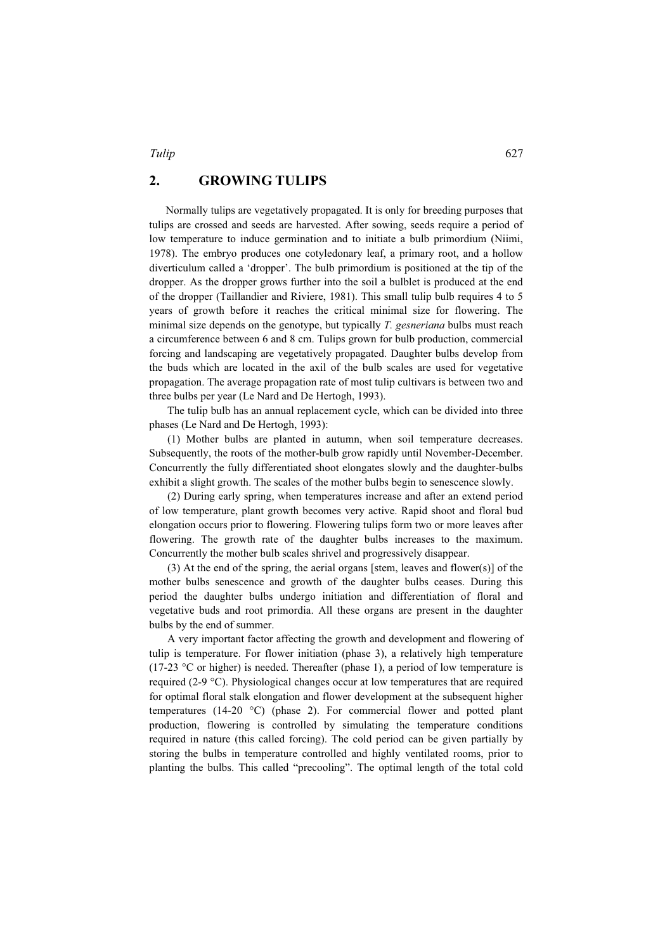# **2. GROWING TULIPS**

Normally tulips are vegetatively propagated. It is only for breeding purposes that tulips are crossed and seeds are harvested. After sowing, seeds require a period of low temperature to induce germination and to initiate a bulb primordium (Niimi, 1978). The embryo produces one cotyledonary leaf, a primary root, and a hollow diverticulum called a 'dropper'. The bulb primordium is positioned at the tip of the dropper. As the dropper grows further into the soil a bulblet is produced at the end of the dropper (Taillandier and Riviere, 1981). This small tulip bulb requires 4 to 5 years of growth before it reaches the critical minimal size for flowering. The minimal size depends on the genotype, but typically *T. gesneriana* bulbs must reach a circumference between 6 and 8 cm. Tulips grown for bulb production, commercial forcing and landscaping are vegetatively propagated. Daughter bulbs develop from the buds which are located in the axil of the bulb scales are used for vegetative propagation. The average propagation rate of most tulip cultivars is between two and three bulbs per year (Le Nard and De Hertogh, 1993).

The tulip bulb has an annual replacement cycle, which can be divided into three phases (Le Nard and De Hertogh, 1993):

(1) Mother bulbs are planted in autumn, when soil temperature decreases. Subsequently, the roots of the mother-bulb grow rapidly until November-December. Concurrently the fully differentiated shoot elongates slowly and the daughter-bulbs exhibit a slight growth. The scales of the mother bulbs begin to senescence slowly.

(2) During early spring, when temperatures increase and after an extend period of low temperature, plant growth becomes very active. Rapid shoot and floral bud elongation occurs prior to flowering. Flowering tulips form two or more leaves after flowering. The growth rate of the daughter bulbs increases to the maximum. Concurrently the mother bulb scales shrivel and progressively disappear.

(3) At the end of the spring, the aerial organs [stem, leaves and flower(s)] of the mother bulbs senescence and growth of the daughter bulbs ceases. During this period the daughter bulbs undergo initiation and differentiation of floral and vegetative buds and root primordia. All these organs are present in the daughter bulbs by the end of summer.

A very important factor affecting the growth and development and flowering of tulip is temperature. For flower initiation (phase 3), a relatively high temperature (17-23  $\degree$ C or higher) is needed. Thereafter (phase 1), a period of low temperature is required (2-9  $\degree$ C). Physiological changes occur at low temperatures that are required for optimal floral stalk elongation and flower development at the subsequent higher temperatures (14-20  $^{\circ}$ C) (phase 2). For commercial flower and potted plant production, flowering is controlled by simulating the temperature conditions required in nature (this called forcing). The cold period can be given partially by storing the bulbs in temperature controlled and highly ventilated rooms, prior to planting the bulbs. This called "precooling". The optimal length of the total cold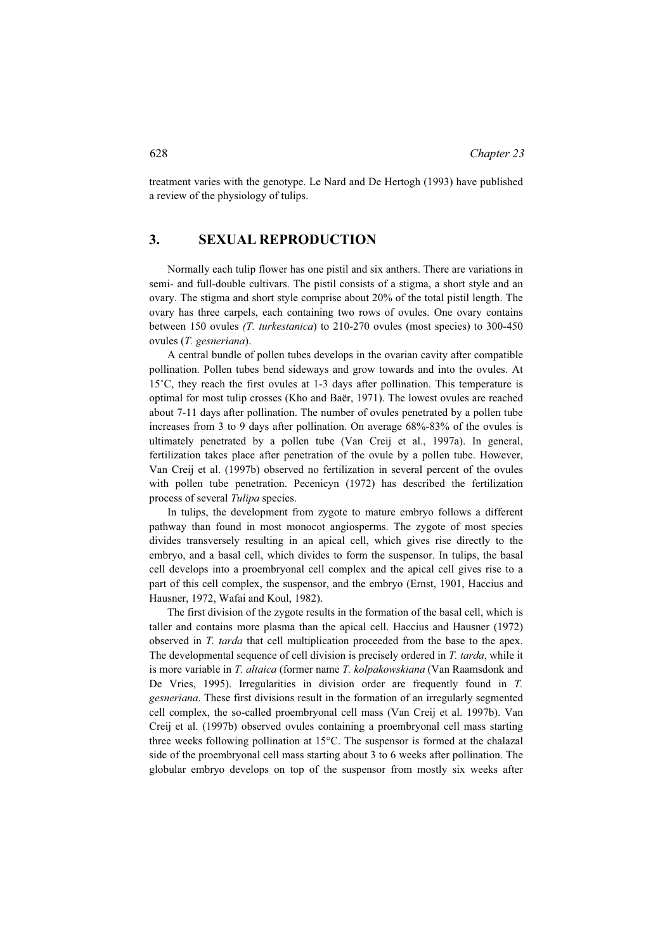treatment varies with the genotype. Le Nard and De Hertogh (1993) have published a review of the physiology of tulips.

# **3. SEXUAL REPRODUCTION**

Normally each tulip flower has one pistil and six anthers. There are variations in semi- and full-double cultivars. The pistil consists of a stigma, a short style and an ovary. The stigma and short style comprise about 20% of the total pistil length. The ovary has three carpels, each containing two rows of ovules. One ovary contains between 150 ovules *(T. turkestanica*) to 210-270 ovules (most species) to 300-450 ovules (*T. gesneriana*).

A central bundle of pollen tubes develops in the ovarian cavity after compatible pollination. Pollen tubes bend sideways and grow towards and into the ovules. At 15˚C, they reach the first ovules at 1-3 days after pollination. This temperature is optimal for most tulip crosses (Kho and Baër, 1971). The lowest ovules are reached about 7-11 days after pollination. The number of ovules penetrated by a pollen tube increases from 3 to 9 days after pollination. On average 68%-83% of the ovules is ultimately penetrated by a pollen tube (Van Creij et al., 1997a). In general, fertilization takes place after penetration of the ovule by a pollen tube. However, Van Creij et al. (1997b) observed no fertilization in several percent of the ovules with pollen tube penetration. Pecenicyn (1972) has described the fertilization process of several *Tulipa* species.

In tulips, the development from zygote to mature embryo follows a different pathway than found in most monocot angiosperms. The zygote of most species divides transversely resulting in an apical cell, which gives rise directly to the embryo, and a basal cell, which divides to form the suspensor. In tulips, the basal cell develops into a proembryonal cell complex and the apical cell gives rise to a part of this cell complex, the suspensor, and the embryo (Ernst, 1901, Haccius and Hausner, 1972, Wafai and Koul, 1982).

The first division of the zygote results in the formation of the basal cell, which is taller and contains more plasma than the apical cell. Haccius and Hausner (1972) observed in *T. tarda* that cell multiplication proceeded from the base to the apex. The developmental sequence of cell division is precisely ordered in *T. tarda*, while it is more variable in *T. altaica* (former name *T. kolpakowskiana* (Van Raamsdonk and De Vries, 1995). Irregularities in division order are frequently found in *T. gesneriana*. These first divisions result in the formation of an irregularly segmented cell complex, the so-called proembryonal cell mass (Van Creij et al. 1997b). Van Creij et al. (1997b) observed ovules containing a proembryonal cell mass starting three weeks following pollination at 15°C. The suspensor is formed at the chalazal side of the proembryonal cell mass starting about 3 to 6 weeks after pollination. The globular embryo develops on top of the suspensor from mostly six weeks after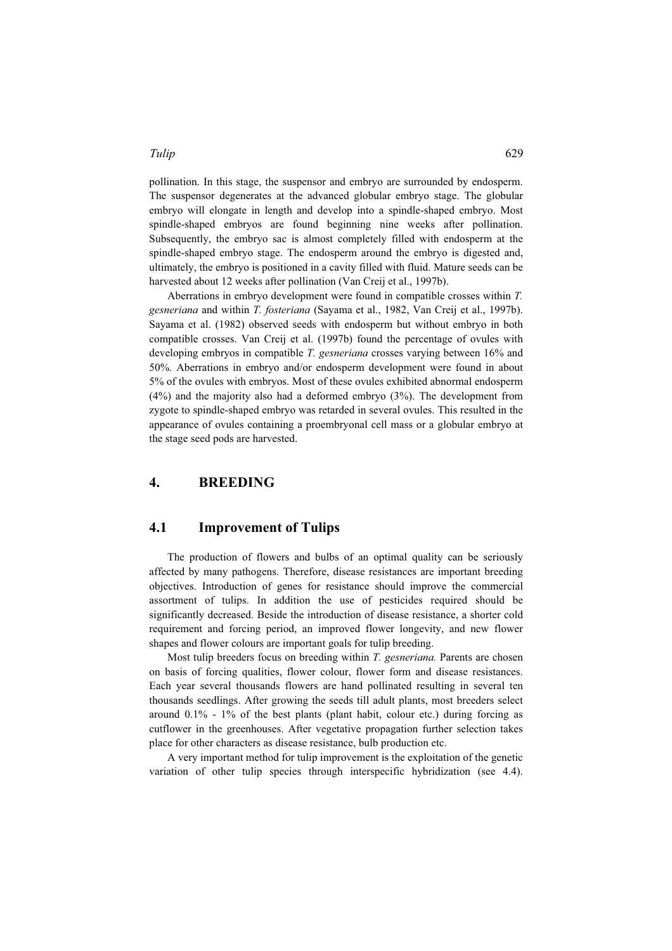pollination. In this stage, the suspensor and embryo are surrounded by endosperm. The suspensor degenerates at the advanced globular embryo stage. The globular embryo will elongate in length and develop into a spindle-shaped embryo. Most spindle-shaped embryos are found beginning nine weeks after pollination. Subsequently, the embryo sac is almost completely filled with endosperm at the spindle-shaped embryo stage. The endosperm around the embryo is digested and, ultimately, the embryo is positioned in a cavity filled with fluid. Mature seeds can be harvested about 12 weeks after pollination (Van Creij et al., 1997b).

Aberrations in embryo development were found in compatible crosses within *T. gesneriana* and within *T. fosteriana* (Sayama et al., 1982, Van Creij et al., 1997b). Sayama et al. (1982) observed seeds with endosperm but without embryo in both compatible crosses. Van Creij et al. (1997b) found the percentage of ovules with developing embryos in compatible *T. gesneriana* crosses varying between 16% and 50%. Aberrations in embryo and/or endosperm development were found in about 5% of the ovules with embryos. Most of these ovules exhibited abnormal endosperm (4%) and the majority also had a deformed embryo (3%). The development from zygote to spindle-shaped embryo was retarded in several ovules. This resulted in the appearance of ovules containing a proembryonal cell mass or a globular embryo at the stage seed pods are harvested.

## **4. BREEDING**

## **4.1 Improvement of Tulips**

The production of flowers and bulbs of an optimal quality can be seriously affected by many pathogens. Therefore, disease resistances are important breeding objectives. Introduction of genes for resistance should improve the commercial assortment of tulips. In addition the use of pesticides required should be significantly decreased. Beside the introduction of disease resistance, a shorter cold requirement and forcing period, an improved flower longevity, and new flower shapes and flower colours are important goals for tulip breeding.

Most tulip breeders focus on breeding within *T. gesneriana.* Parents are chosen on basis of forcing qualities, flower colour, flower form and disease resistances. Each year several thousands flowers are hand pollinated resulting in several ten thousands seedlings. After growing the seeds till adult plants, most breeders select around 0.1% - 1% of the best plants (plant habit, colour etc.) during forcing as cutflower in the greenhouses. After vegetative propagation further selection takes place for other characters as disease resistance, bulb production etc.

A very important method for tulip improvement is the exploitation of the genetic variation of other tulip species through interspecific hybridization (see 4.4).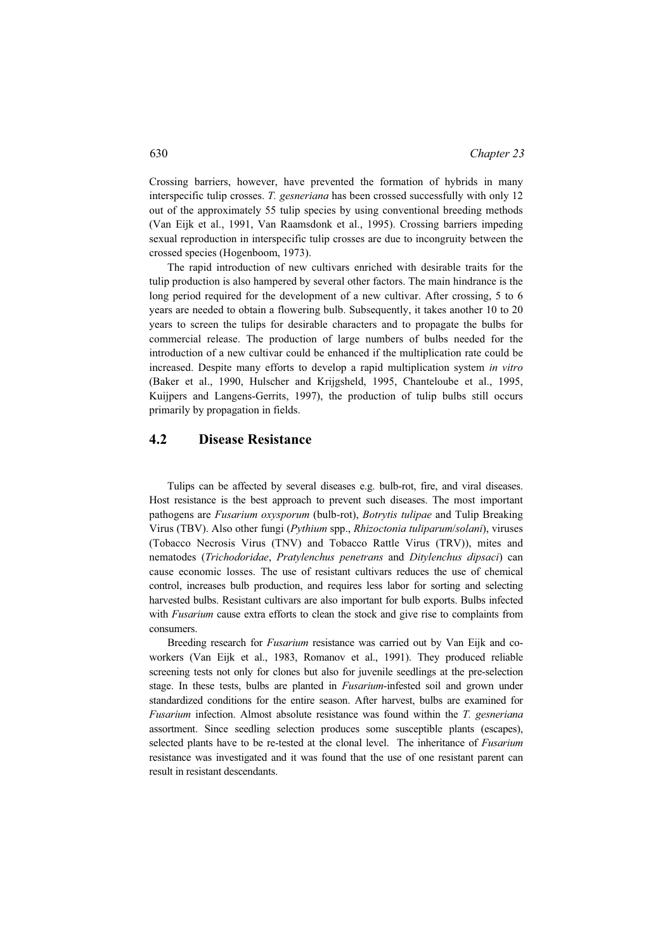Crossing barriers, however, have prevented the formation of hybrids in many interspecific tulip crosses. *T. gesneriana* has been crossed successfully with only 12 out of the approximately 55 tulip species by using conventional breeding methods (Van Eijk et al., 1991, Van Raamsdonk et al., 1995). Crossing barriers impeding sexual reproduction in interspecific tulip crosses are due to incongruity between the crossed species (Hogenboom, 1973).

The rapid introduction of new cultivars enriched with desirable traits for the tulip production is also hampered by several other factors. The main hindrance is the long period required for the development of a new cultivar. After crossing, 5 to 6 years are needed to obtain a flowering bulb. Subsequently, it takes another 10 to 20 years to screen the tulips for desirable characters and to propagate the bulbs for commercial release. The production of large numbers of bulbs needed for the introduction of a new cultivar could be enhanced if the multiplication rate could be increased. Despite many efforts to develop a rapid multiplication system *in vitro* (Baker et al., 1990, Hulscher and Krijgsheld, 1995, Chanteloube et al., 1995, Kuijpers and Langens-Gerrits, 1997), the production of tulip bulbs still occurs primarily by propagation in fields.

## **4.2 Disease Resistance**

Tulips can be affected by several diseases e.g. bulb-rot, fire, and viral diseases. Host resistance is the best approach to prevent such diseases. The most important pathogens are *Fusarium oxysporum* (bulb-rot), *Botrytis tulipae* and Tulip Breaking Virus (TBV). Also other fungi (*Pythium* spp., *Rhizoctonia tuliparum*/*solani*), viruses (Tobacco Necrosis Virus (TNV) and Tobacco Rattle Virus (TRV)), mites and nematodes (*Trichodoridae*, *Pratylenchus penetrans* and *Ditylenchus dipsaci*) can cause economic losses. The use of resistant cultivars reduces the use of chemical control, increases bulb production, and requires less labor for sorting and selecting harvested bulbs. Resistant cultivars are also important for bulb exports. Bulbs infected with *Fusarium* cause extra efforts to clean the stock and give rise to complaints from consumers.

Breeding research for *Fusarium* resistance was carried out by Van Eijk and coworkers (Van Eijk et al., 1983, Romanov et al., 1991). They produced reliable screening tests not only for clones but also for juvenile seedlings at the pre-selection stage. In these tests, bulbs are planted in *Fusarium*-infested soil and grown under standardized conditions for the entire season. After harvest, bulbs are examined for *Fusarium* infection. Almost absolute resistance was found within the *T. gesneriana*  assortment. Since seedling selection produces some susceptible plants (escapes), selected plants have to be re-tested at the clonal level. The inheritance of *Fusarium* resistance was investigated and it was found that the use of one resistant parent can result in resistant descendants.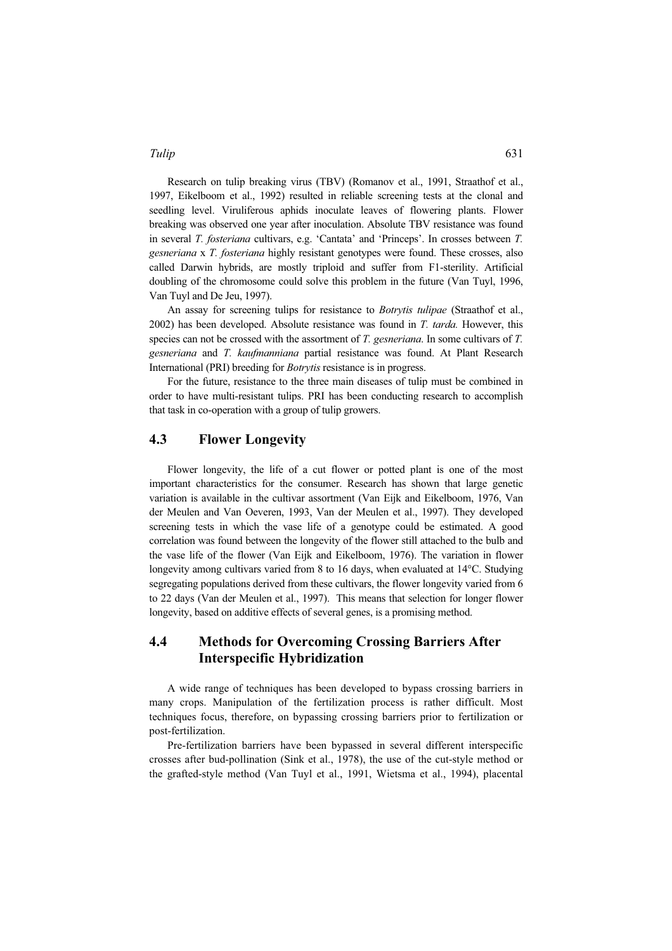Research on tulip breaking virus (TBV) (Romanov et al., 1991, Straathof et al., 1997, Eikelboom et al., 1992) resulted in reliable screening tests at the clonal and seedling level. Viruliferous aphids inoculate leaves of flowering plants. Flower breaking was observed one year after inoculation. Absolute TBV resistance was found in several *T. fosteriana* cultivars, e.g. 'Cantata' and 'Princeps'. In crosses between *T. gesneriana* x *T. fosteriana* highly resistant genotypes were found. These crosses, also called Darwin hybrids, are mostly triploid and suffer from F1-sterility. Artificial doubling of the chromosome could solve this problem in the future (Van Tuyl, 1996, Van Tuyl and De Jeu, 1997).

An assay for screening tulips for resistance to *Botrytis tulipae* (Straathof et al., 2002) has been developed. Absolute resistance was found in *T. tarda.* However, this species can not be crossed with the assortment of *T. gesneriana*. In some cultivars of *T. gesneriana* and *T. kaufmanniana* partial resistance was found. At Plant Research International (PRI) breeding for *Botrytis* resistance is in progress.

For the future, resistance to the three main diseases of tulip must be combined in order to have multi-resistant tulips. PRI has been conducting research to accomplish that task in co-operation with a group of tulip growers.

# **4.3 Flower Longevity**

Flower longevity, the life of a cut flower or potted plant is one of the most important characteristics for the consumer. Research has shown that large genetic variation is available in the cultivar assortment (Van Eijk and Eikelboom, 1976, Van der Meulen and Van Oeveren, 1993, Van der Meulen et al., 1997). They developed screening tests in which the vase life of a genotype could be estimated. A good correlation was found between the longevity of the flower still attached to the bulb and the vase life of the flower (Van Eijk and Eikelboom, 1976). The variation in flower longevity among cultivars varied from 8 to 16 days, when evaluated at 14°C. Studying segregating populations derived from these cultivars, the flower longevity varied from 6 to 22 days (Van der Meulen et al., 1997). This means that selection for longer flower longevity, based on additive effects of several genes, is a promising method.

# **4.4 Methods for Overcoming Crossing Barriers After Interspecific Hybridization**

A wide range of techniques has been developed to bypass crossing barriers in many crops. Manipulation of the fertilization process is rather difficult. Most techniques focus, therefore, on bypassing crossing barriers prior to fertilization or post-fertilization.

Pre-fertilization barriers have been bypassed in several different interspecific crosses after bud-pollination (Sink et al., 1978), the use of the cut-style method or the grafted-style method (Van Tuyl et al., 1991, Wietsma et al., 1994), placental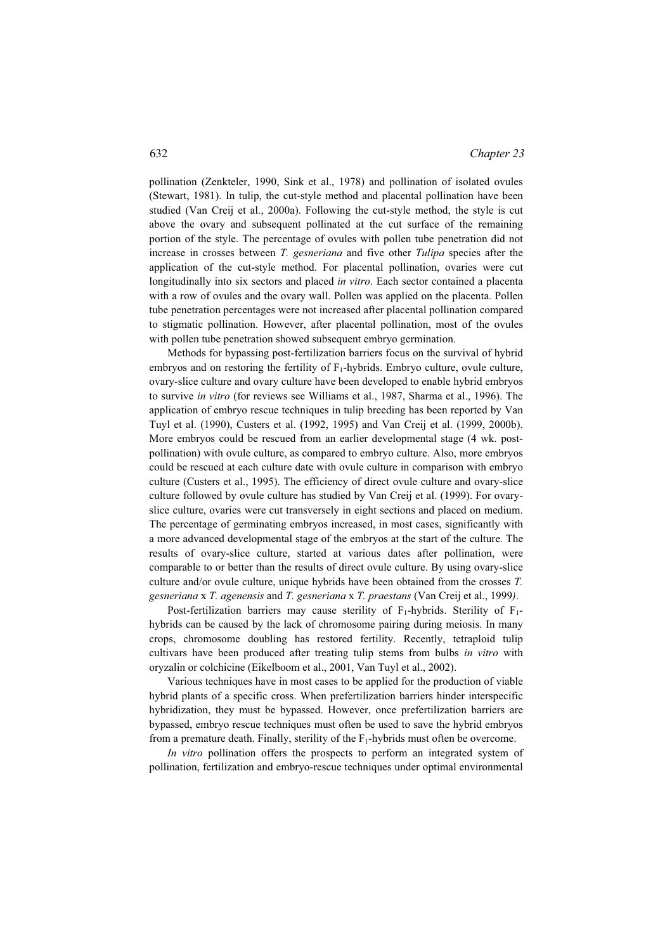pollination (Zenkteler, 1990, Sink et al., 1978) and pollination of isolated ovules (Stewart, 1981). In tulip, the cut-style method and placental pollination have been studied (Van Creij et al., 2000a). Following the cut-style method, the style is cut above the ovary and subsequent pollinated at the cut surface of the remaining portion of the style. The percentage of ovules with pollen tube penetration did not increase in crosses between *T. gesneriana* and five other *Tulipa* species after the application of the cut-style method. For placental pollination, ovaries were cut longitudinally into six sectors and placed *in vitro*. Each sector contained a placenta with a row of ovules and the ovary wall. Pollen was applied on the placenta. Pollen tube penetration percentages were not increased after placental pollination compared to stigmatic pollination. However, after placental pollination, most of the ovules with pollen tube penetration showed subsequent embryo germination.

Methods for bypassing post-fertilization barriers focus on the survival of hybrid embryos and on restoring the fertility of  $F_1$ -hybrids. Embryo culture, ovule culture, ovary-slice culture and ovary culture have been developed to enable hybrid embryos to survive *in vitro* (for reviews see Williams et al., 1987, Sharma et al., 1996). The application of embryo rescue techniques in tulip breeding has been reported by Van Tuyl et al. (1990), Custers et al. (1992, 1995) and Van Creij et al. (1999, 2000b). More embryos could be rescued from an earlier developmental stage (4 wk. postpollination) with ovule culture, as compared to embryo culture. Also, more embryos could be rescued at each culture date with ovule culture in comparison with embryo culture (Custers et al., 1995). The efficiency of direct ovule culture and ovary-slice culture followed by ovule culture has studied by Van Creij et al. (1999). For ovaryslice culture, ovaries were cut transversely in eight sections and placed on medium. The percentage of germinating embryos increased, in most cases, significantly with a more advanced developmental stage of the embryos at the start of the culture. The results of ovary-slice culture, started at various dates after pollination, were comparable to or better than the results of direct ovule culture. By using ovary-slice culture and/or ovule culture, unique hybrids have been obtained from the crosses *T. gesneriana* x *T. agenensis* and *T. gesneriana* x *T. praestans* (Van Creij et al., 1999*)*.

Post-fertilization barriers may cause sterility of  $F_1$ -hybrids. Sterility of  $F_1$ hybrids can be caused by the lack of chromosome pairing during meiosis. In many crops, chromosome doubling has restored fertility. Recently, tetraploid tulip cultivars have been produced after treating tulip stems from bulbs *in vitro* with oryzalin or colchicine (Eikelboom et al., 2001, Van Tuyl et al., 2002).

Various techniques have in most cases to be applied for the production of viable hybrid plants of a specific cross. When prefertilization barriers hinder interspecific hybridization, they must be bypassed. However, once prefertilization barriers are bypassed, embryo rescue techniques must often be used to save the hybrid embryos from a premature death. Finally, sterility of the  $F_1$ -hybrids must often be overcome.

*In vitro* pollination offers the prospects to perform an integrated system of pollination, fertilization and embryo-rescue techniques under optimal environmental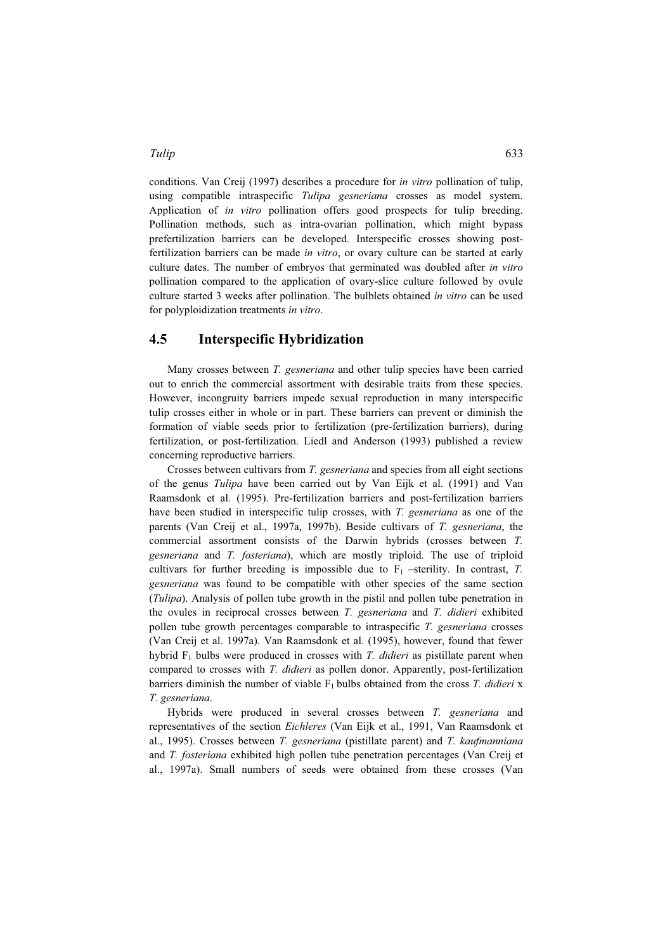conditions. Van Creij (1997) describes a procedure for *in vitro* pollination of tulip, using compatible intraspecific *Tulipa gesneriana* crosses as model system. Application of *in vitro* pollination offers good prospects for tulip breeding. Pollination methods, such as intra-ovarian pollination, which might bypass prefertilization barriers can be developed. Interspecific crosses showing postfertilization barriers can be made *in vitro*, or ovary culture can be started at early culture dates. The number of embryos that germinated was doubled after *in vitro* pollination compared to the application of ovary-slice culture followed by ovule culture started 3 weeks after pollination. The bulblets obtained *in vitro* can be used for polyploidization treatments *in vitro*.

## **4.5 Interspecific Hybridization**

Many crosses between *T. gesneriana* and other tulip species have been carried out to enrich the commercial assortment with desirable traits from these species. However, incongruity barriers impede sexual reproduction in many interspecific tulip crosses either in whole or in part. These barriers can prevent or diminish the formation of viable seeds prior to fertilization (pre-fertilization barriers), during fertilization, or post-fertilization. Liedl and Anderson (1993) published a review concerning reproductive barriers.

Crosses between cultivars from *T. gesneriana* and species from all eight sections of the genus *Tulipa* have been carried out by Van Eijk et al. (1991) and Van Raamsdonk et al. (1995). Pre-fertilization barriers and post-fertilization barriers have been studied in interspecific tulip crosses, with *T. gesneriana* as one of the parents (Van Creij et al., 1997a, 1997b). Beside cultivars of *T. gesneriana*, the commercial assortment consists of the Darwin hybrids (crosses between *T. gesneriana* and *T. fosteriana*), which are mostly triploid. The use of triploid cultivars for further breeding is impossible due to  $F_1$  –sterility. In contrast, *T*. *gesneriana* was found to be compatible with other species of the same section (*Tulipa*). Analysis of pollen tube growth in the pistil and pollen tube penetration in the ovules in reciprocal crosses between *T. gesneriana* and *T. didieri* exhibited pollen tube growth percentages comparable to intraspecific *T. gesneriana* crosses (Van Creij et al. 1997a). Van Raamsdonk et al. (1995), however, found that fewer hybrid F1 bulbs were produced in crosses with *T. didieri* as pistillate parent when compared to crosses with *T. didieri* as pollen donor. Apparently, post-fertilization barriers diminish the number of viable  $F_1$  bulbs obtained from the cross *T. didieri* x *T. gesneriana*.

Hybrids were produced in several crosses between *T. gesneriana* and representatives of the section *Eichleres* (Van Eijk et al., 1991, Van Raamsdonk et al., 1995). Crosses between *T. gesneriana* (pistillate parent) and *T. kaufmanniana* and *T. fosteriana* exhibited high pollen tube penetration percentages (Van Creij et al., 1997a). Small numbers of seeds were obtained from these crosses (Van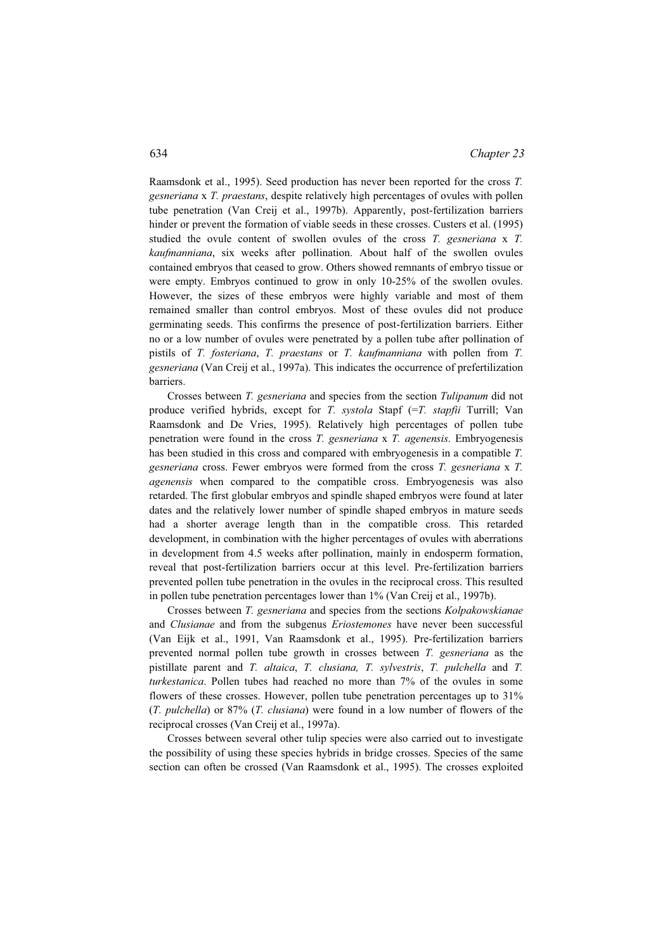Raamsdonk et al., 1995). Seed production has never been reported for the cross *T. gesneriana* x *T. praestans*, despite relatively high percentages of ovules with pollen tube penetration (Van Creij et al., 1997b). Apparently, post-fertilization barriers hinder or prevent the formation of viable seeds in these crosses. Custers et al. (1995) studied the ovule content of swollen ovules of the cross *T. gesneriana* x *T. kaufmanniana*, six weeks after pollination. About half of the swollen ovules contained embryos that ceased to grow. Others showed remnants of embryo tissue or were empty. Embryos continued to grow in only 10-25% of the swollen ovules. However, the sizes of these embryos were highly variable and most of them remained smaller than control embryos. Most of these ovules did not produce germinating seeds. This confirms the presence of post-fertilization barriers. Either no or a low number of ovules were penetrated by a pollen tube after pollination of pistils of *T. fosteriana*, *T. praestans* or *T. kaufmanniana* with pollen from *T. gesneriana* (Van Creij et al., 1997a). This indicates the occurrence of prefertilization barriers.

Crosses between *T. gesneriana* and species from the section *Tulipanum* did not produce verified hybrids, except for *T. systola* Stapf (=*T. stapfii* Turrill; Van Raamsdonk and De Vries, 1995). Relatively high percentages of pollen tube penetration were found in the cross *T. gesneriana* x *T. agenensis*. Embryogenesis has been studied in this cross and compared with embryogenesis in a compatible *T. gesneriana* cross. Fewer embryos were formed from the cross *T. gesneriana* x *T. agenensis* when compared to the compatible cross. Embryogenesis was also retarded. The first globular embryos and spindle shaped embryos were found at later dates and the relatively lower number of spindle shaped embryos in mature seeds had a shorter average length than in the compatible cross. This retarded development, in combination with the higher percentages of ovules with aberrations in development from 4.5 weeks after pollination, mainly in endosperm formation, reveal that post-fertilization barriers occur at this level. Pre-fertilization barriers prevented pollen tube penetration in the ovules in the reciprocal cross. This resulted in pollen tube penetration percentages lower than 1% (Van Creij et al., 1997b).

Crosses between *T. gesneriana* and species from the sections *Kolpakowskianae* and *Clusianae* and from the subgenus *Eriostemones* have never been successful (Van Eijk et al., 1991, Van Raamsdonk et al., 1995). Pre-fertilization barriers prevented normal pollen tube growth in crosses between *T. gesneriana* as the pistillate parent and *T. altaica*, *T. clusiana, T. sylvestris*, *T. pulchella* and *T. turkestanica*. Pollen tubes had reached no more than 7% of the ovules in some flowers of these crosses. However, pollen tube penetration percentages up to 31% (*T. pulchella*) or 87% (*T. clusiana*) were found in a low number of flowers of the reciprocal crosses (Van Creij et al., 1997a).

Crosses between several other tulip species were also carried out to investigate the possibility of using these species hybrids in bridge crosses. Species of the same section can often be crossed (Van Raamsdonk et al., 1995). The crosses exploited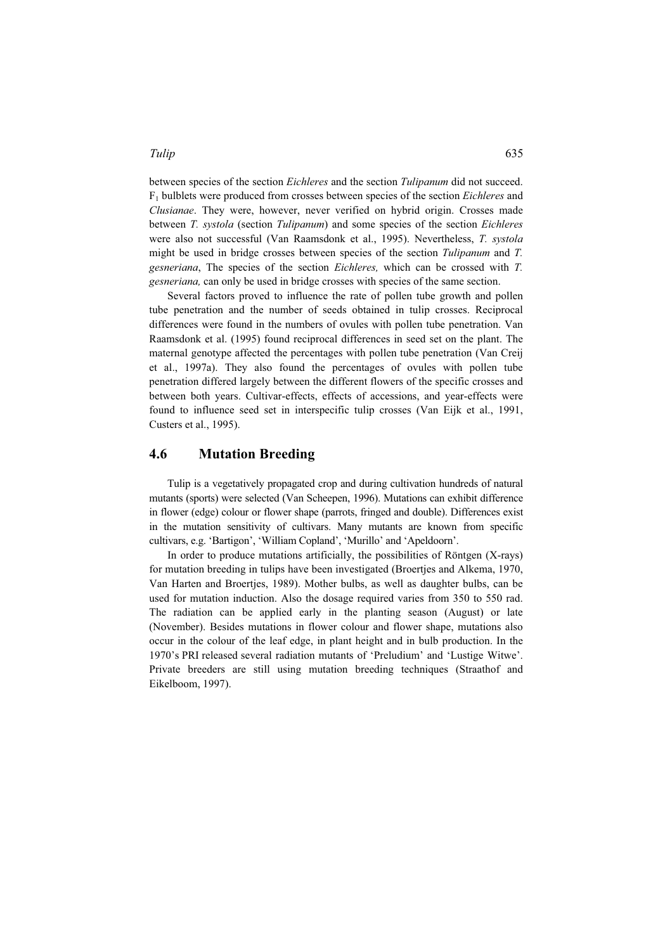between species of the section *Eichleres* and the section *Tulipanum* did not succeed. F1 bulblets were produced from crosses between species of the section *Eichleres* and *Clusianae*. They were, however, never verified on hybrid origin. Crosses made between *T. systola* (section *Tulipanum*) and some species of the section *Eichleres* were also not successful (Van Raamsdonk et al., 1995). Nevertheless, *T. systola* might be used in bridge crosses between species of the section *Tulipanum* and *T. gesneriana*, The species of the section *Eichleres,* which can be crossed with *T. gesneriana,* can only be used in bridge crosses with species of the same section.

Several factors proved to influence the rate of pollen tube growth and pollen tube penetration and the number of seeds obtained in tulip crosses. Reciprocal differences were found in the numbers of ovules with pollen tube penetration. Van Raamsdonk et al. (1995) found reciprocal differences in seed set on the plant. The maternal genotype affected the percentages with pollen tube penetration (Van Creij et al., 1997a). They also found the percentages of ovules with pollen tube penetration differed largely between the different flowers of the specific crosses and between both years. Cultivar-effects, effects of accessions, and year-effects were found to influence seed set in interspecific tulip crosses (Van Eijk et al., 1991, Custers et al., 1995).

## **4.6 Mutation Breeding**

Tulip is a vegetatively propagated crop and during cultivation hundreds of natural mutants (sports) were selected (Van Scheepen, 1996). Mutations can exhibit difference in flower (edge) colour or flower shape (parrots, fringed and double). Differences exist in the mutation sensitivity of cultivars. Many mutants are known from specific cultivars, e.g. 'Bartigon', 'William Copland', 'Murillo' and 'Apeldoorn'.

In order to produce mutations artificially, the possibilities of Röntgen (X-rays) for mutation breeding in tulips have been investigated (Broertjes and Alkema, 1970, Van Harten and Broertjes, 1989). Mother bulbs, as well as daughter bulbs, can be used for mutation induction. Also the dosage required varies from 350 to 550 rad. The radiation can be applied early in the planting season (August) or late (November). Besides mutations in flower colour and flower shape, mutations also occur in the colour of the leaf edge, in plant height and in bulb production. In the 1970's PRI released several radiation mutants of 'Preludium' and 'Lustige Witwe'. Private breeders are still using mutation breeding techniques (Straathof and Eikelboom, 1997).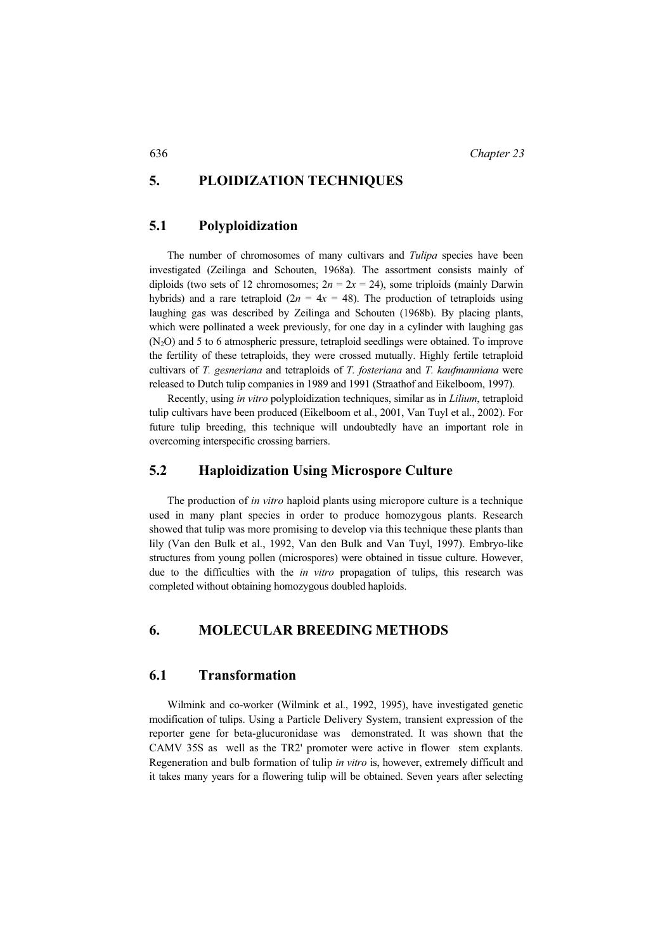# **5. PLOIDIZATION TECHNIQUES**

## **5.1 Polyploidization**

The number of chromosomes of many cultivars and *Tulipa* species have been investigated (Zeilinga and Schouten, 1968a). The assortment consists mainly of diploids (two sets of 12 chromosomes;  $2n = 2x = 24$ ), some triploids (mainly Darwin hybrids) and a rare tetraploid  $(2n = 4x = 48)$ . The production of tetraploids using laughing gas was described by Zeilinga and Schouten (1968b). By placing plants, which were pollinated a week previously, for one day in a cylinder with laughing gas  $(N<sub>2</sub>O)$  and 5 to 6 atmospheric pressure, tetraploid seedlings were obtained. To improve the fertility of these tetraploids, they were crossed mutually. Highly fertile tetraploid cultivars of *T. gesneriana* and tetraploids of *T. fosteriana* and *T. kaufmanniana* were released to Dutch tulip companies in 1989 and 1991 (Straathof and Eikelboom, 1997).

Recently, using *in vitro* polyploidization techniques, similar as in *Lilium*, tetraploid tulip cultivars have been produced (Eikelboom et al., 2001, Van Tuyl et al., 2002). For future tulip breeding, this technique will undoubtedly have an important role in overcoming interspecific crossing barriers.

# **5.2 Haploidization Using Microspore Culture**

The production of *in vitro* haploid plants using micropore culture is a technique used in many plant species in order to produce homozygous plants. Research showed that tulip was more promising to develop via this technique these plants than lily (Van den Bulk et al., 1992, Van den Bulk and Van Tuyl, 1997). Embryo-like structures from young pollen (microspores) were obtained in tissue culture. However, due to the difficulties with the *in vitro* propagation of tulips, this research was completed without obtaining homozygous doubled haploids.

## **6. MOLECULAR BREEDING METHODS**

## **6.1 Transformation**

Wilmink and co-worker (Wilmink et al., 1992, 1995), have investigated genetic modification of tulips. Using a Particle Delivery System, transient expression of the reporter gene for beta-glucuronidase was demonstrated. It was shown that the CAMV 35S as well as the TR2' promoter were active in flower stem explants. Regeneration and bulb formation of tulip *in vitro* is, however, extremely difficult and it takes many years for a flowering tulip will be obtained. Seven years after selecting

#### 636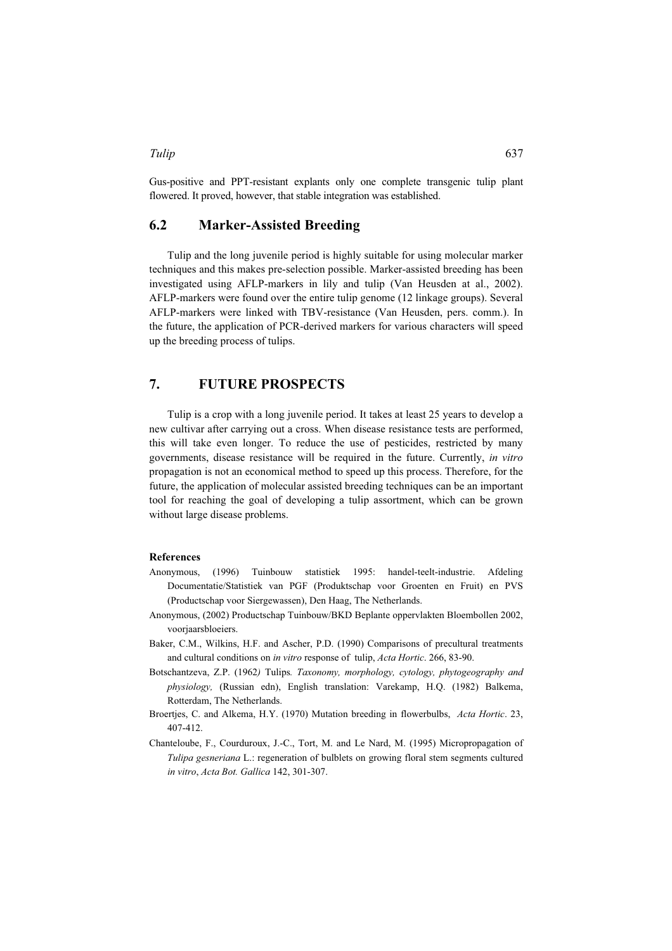Gus-positive and PPT-resistant explants only one complete transgenic tulip plant flowered. It proved, however, that stable integration was established.

## **6.2 Marker-Assisted Breeding**

Tulip and the long juvenile period is highly suitable for using molecular marker techniques and this makes pre-selection possible. Marker-assisted breeding has been investigated using AFLP-markers in lily and tulip (Van Heusden at al., 2002). AFLP-markers were found over the entire tulip genome (12 linkage groups). Several AFLP-markers were linked with TBV-resistance (Van Heusden, pers. comm.). In the future, the application of PCR-derived markers for various characters will speed up the breeding process of tulips.

# **7. FUTURE PROSPECTS**

Tulip is a crop with a long juvenile period. It takes at least 25 years to develop a new cultivar after carrying out a cross. When disease resistance tests are performed, this will take even longer. To reduce the use of pesticides, restricted by many governments, disease resistance will be required in the future. Currently, *in vitro* propagation is not an economical method to speed up this process. Therefore, for the future, the application of molecular assisted breeding techniques can be an important tool for reaching the goal of developing a tulip assortment, which can be grown without large disease problems.

#### **References**

- Anonymous, (1996) Tuinbouw statistiek 1995: handel-teelt-industrie. Afdeling Documentatie/Statistiek van PGF (Produktschap voor Groenten en Fruit) en PVS (Productschap voor Siergewassen), Den Haag, The Netherlands.
- Anonymous, (2002) Productschap Tuinbouw/BKD Beplante oppervlakten Bloembollen 2002, voorjaarsbloeiers.
- Baker, C.M., Wilkins, H.F. and Ascher, P.D. (1990) Comparisons of precultural treatments and cultural conditions on *in vitro* response of tulip, *Acta Hortic*. 266, 83-90.
- Botschantzeva, Z.P. (1962*)* Tulips*. Taxonomy, morphology, cytology, phytogeography and physiology,* (Russian edn), English translation: Varekamp, H.Q. (1982) Balkema, Rotterdam, The Netherlands.
- Broertjes, C. and Alkema, H.Y. (1970) Mutation breeding in flowerbulbs, *Acta Hortic*. 23, 407-412.
- Chanteloube, F., Courduroux, J.-C., Tort, M. and Le Nard, M. (1995) Micropropagation of *Tulipa gesneriana* L.: regeneration of bulblets on growing floral stem segments cultured *in vitro*, *Acta Bot. Gallica* 142, 301-307.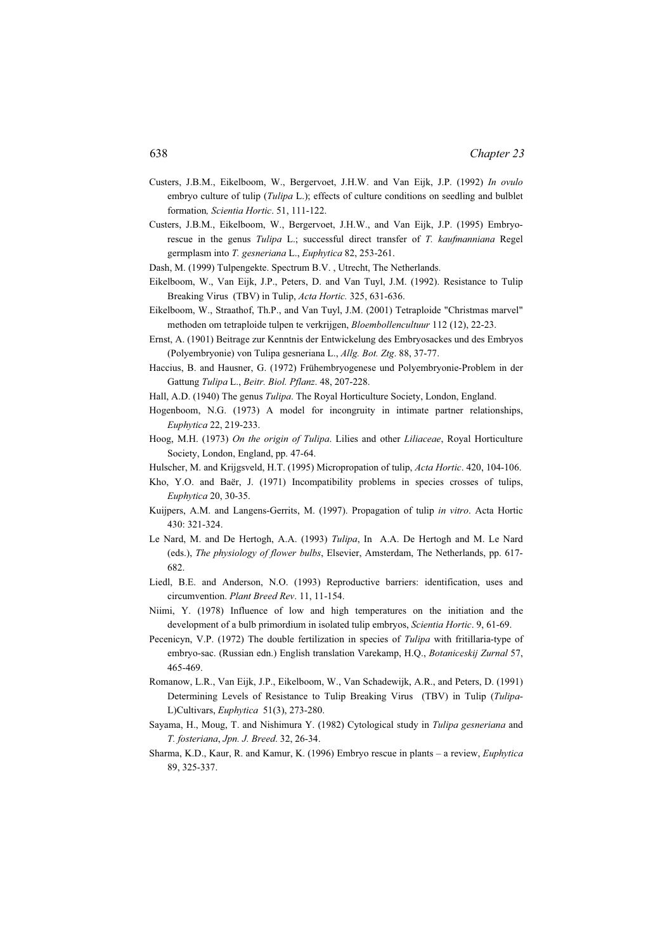- Custers, J.B.M., Eikelboom, W., Bergervoet, J.H.W. and Van Eijk, J.P. (1992) *In ovulo* embryo culture of tulip (*Tulipa* L.); effects of culture conditions on seedling and bulblet formation*, Scientia Hortic*. 51, 111-122.
- Custers, J.B.M., Eikelboom, W., Bergervoet, J.H.W., and Van Eijk, J.P. (1995) Embryorescue in the genus *Tulipa* L.; successful direct transfer of *T. kaufmanniana* Regel germplasm into *T. gesneriana* L., *Euphytica* 82, 253-261.
- Dash, M. (1999) Tulpengekte. Spectrum B.V. , Utrecht, The Netherlands.
- Eikelboom, W., Van Eijk, J.P., Peters, D. and Van Tuyl, J.M. (1992). Resistance to Tulip Breaking Virus (TBV) in Tulip, *Acta Hortic.* 325, 631-636.
- Eikelboom, W., Straathof, Th.P., and Van Tuyl, J.M. (2001) Tetraploide "Christmas marvel" methoden om tetraploide tulpen te verkrijgen, *Bloembollencultuur* 112 (12), 22-23.
- Ernst, A. (1901) Beitrage zur Kenntnis der Entwickelung des Embryosackes und des Embryos (Polyembryonie) von Tulipa gesneriana L., *Allg. Bot. Ztg*. 88, 37-77.
- Haccius, B. and Hausner, G. (1972) Frühembryogenese und Polyembryonie-Problem in der Gattung *Tulipa* L., *Beitr. Biol. Pflanz*. 48, 207-228.
- Hall, A.D. (1940) The genus *Tulipa*. The Royal Horticulture Society, London, England.
- Hogenboom, N.G. (1973) A model for incongruity in intimate partner relationships, *Euphytica* 22, 219-233.
- Hoog, M.H. (1973) *On the origin of Tulipa*. Lilies and other *Liliaceae*, Royal Horticulture Society, London, England, pp. 47-64.
- Hulscher, M. and Krijgsveld, H.T. (1995) Micropropation of tulip, *Acta Hortic*. 420, 104-106.
- Kho, Y.O. and Baër, J. (1971) Incompatibility problems in species crosses of tulips, *Euphytica* 20, 30-35.
- Kuijpers, A.M. and Langens-Gerrits, M. (1997). Propagation of tulip *in vitro*. Acta Hortic 430: 321-324.
- Le Nard, M. and De Hertogh, A.A. (1993) *Tulipa*, In A.A. De Hertogh and M. Le Nard (eds.), *The physiology of flower bulbs*, Elsevier, Amsterdam, The Netherlands, pp. 617- 682.
- Liedl, B.E. and Anderson, N.O. (1993) Reproductive barriers: identification, uses and circumvention. *Plant Breed Rev*. 11, 11-154.
- Niimi, Y. (1978) Influence of low and high temperatures on the initiation and the development of a bulb primordium in isolated tulip embryos, *Scientia Hortic*. 9, 61-69.
- Pecenicyn, V.P. (1972) The double fertilization in species of *Tulipa* with fritillaria-type of embryo-sac. (Russian edn.) English translation Varekamp, H.Q., *Botaniceskij Zurnal* 57, 465-469.
- Romanow, L.R., Van Eijk, J.P., Eikelboom, W., Van Schadewijk, A.R., and Peters, D. (1991) Determining Levels of Resistance to Tulip Breaking Virus (TBV) in Tulip (*Tulipa*-L)Cultivars, *Euphytica* 51(3), 273-280.
- Sayama, H., Moug, T. and Nishimura Y. (1982) Cytological study in *Tulipa gesneriana* and *T. fosteriana*, *Jpn. J. Breed*. 32, 26-34.
- Sharma, K.D., Kaur, R. and Kamur, K. (1996) Embryo rescue in plants a review, *Euphytica* 89, 325-337.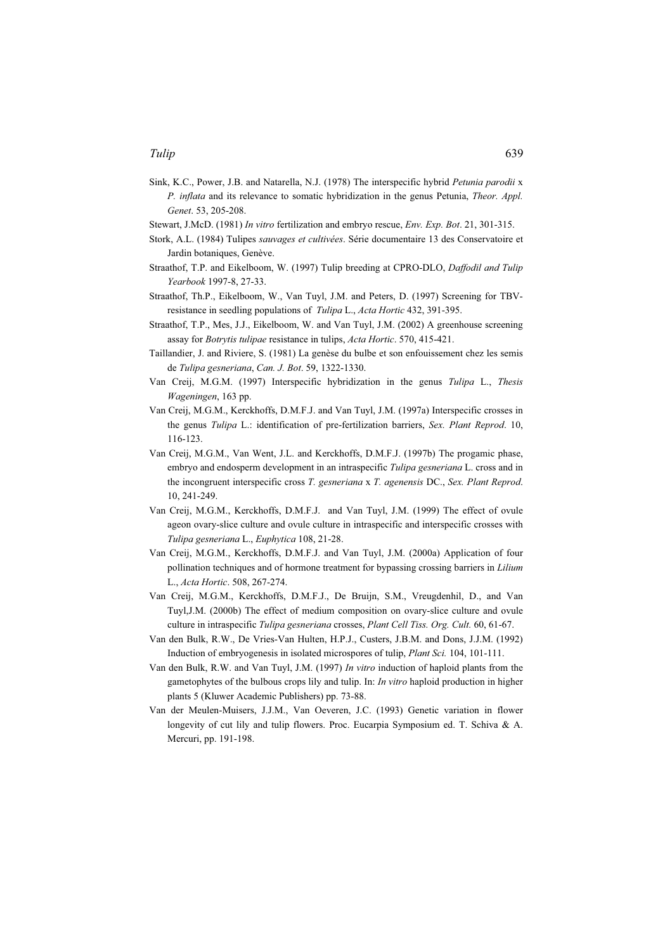- Sink, K.C., Power, J.B. and Natarella, N.J. (1978) The interspecific hybrid *Petunia parodii* x *P. inflata* and its relevance to somatic hybridization in the genus Petunia, *Theor. Appl. Genet*. 53, 205-208.
- Stewart, J.McD. (1981) *In vitro* fertilization and embryo rescue, *Env. Exp. Bot*. 21, 301-315.
- Stork, A.L. (1984) Tulipes *sauvages et cultivées*. Série documentaire 13 des Conservatoire et Jardin botaniques, Genève.
- Straathof, T.P. and Eikelboom, W. (1997) Tulip breeding at CPRO-DLO, *Daffodil and Tulip Yearbook* 1997-8, 27-33.
- Straathof, Th.P., Eikelboom, W., Van Tuyl, J.M. and Peters, D. (1997) Screening for TBVresistance in seedling populations of *Tulipa* L., *Acta Hortic* 432, 391-395.
- Straathof, T.P., Mes, J.J., Eikelboom, W. and Van Tuyl, J.M. (2002) A greenhouse screening assay for *Botrytis tulipae* resistance in tulips, *Acta Hortic*. 570, 415-421.
- Taillandier, J. and Riviere, S. (1981) La genèse du bulbe et son enfouissement chez les semis de *Tulipa gesneriana*, *Can. J. Bot*. 59, 1322-1330.
- Van Creij, M.G.M. (1997) Interspecific hybridization in the genus *Tulipa* L., *Thesis Wageningen*, 163 pp.
- Van Creij, M.G.M., Kerckhoffs, D.M.F.J. and Van Tuyl, J.M. (1997a) Interspecific crosses in the genus *Tulipa* L.: identification of pre-fertilization barriers, *Sex. Plant Reprod*. 10, 116-123.
- Van Creij, M.G.M., Van Went, J.L. and Kerckhoffs, D.M.F.J. (1997b) The progamic phase, embryo and endosperm development in an intraspecific *Tulipa gesneriana* L. cross and in the incongruent interspecific cross *T. gesneriana* x *T. agenensis* DC., *Sex. Plant Reprod*. 10, 241-249.
- Van Creij, M.G.M., Kerckhoffs, D.M.F.J. and Van Tuyl, J.M. (1999) The effect of ovule ageon ovary-slice culture and ovule culture in intraspecific and interspecific crosses with *Tulipa gesneriana* L., *Euphytica* 108, 21-28.
- Van Creij, M.G.M., Kerckhoffs, D.M.F.J. and Van Tuyl, J.M. (2000a) Application of four pollination techniques and of hormone treatment for bypassing crossing barriers in *Lilium* L., *Acta Hortic*. 508, 267-274.
- Van Creij, M.G.M., Kerckhoffs, D.M.F.J., De Bruijn, S.M., Vreugdenhil, D., and Van Tuyl,J.M. (2000b) The effect of medium composition on ovary-slice culture and ovule culture in intraspecific *Tulipa gesneriana* crosses, *Plant Cell Tiss. Org. Cult.* 60, 61-67.
- Van den Bulk, R.W., De Vries-Van Hulten, H.P.J., Custers, J.B.M. and Dons, J.J.M. (1992) Induction of embryogenesis in isolated microspores of tulip, *Plant Sci.* 104, 101-111.
- Van den Bulk, R.W. and Van Tuyl, J.M. (1997) *In vitro* induction of haploid plants from the gametophytes of the bulbous crops lily and tulip. In: *In vitro* haploid production in higher plants 5 (Kluwer Academic Publishers) pp. 73-88.
- Van der Meulen-Muisers, J.J.M., Van Oeveren, J.C. (1993) Genetic variation in flower longevity of cut lily and tulip flowers. Proc. Eucarpia Symposium ed. T. Schiva & A. Mercuri, pp. 191-198.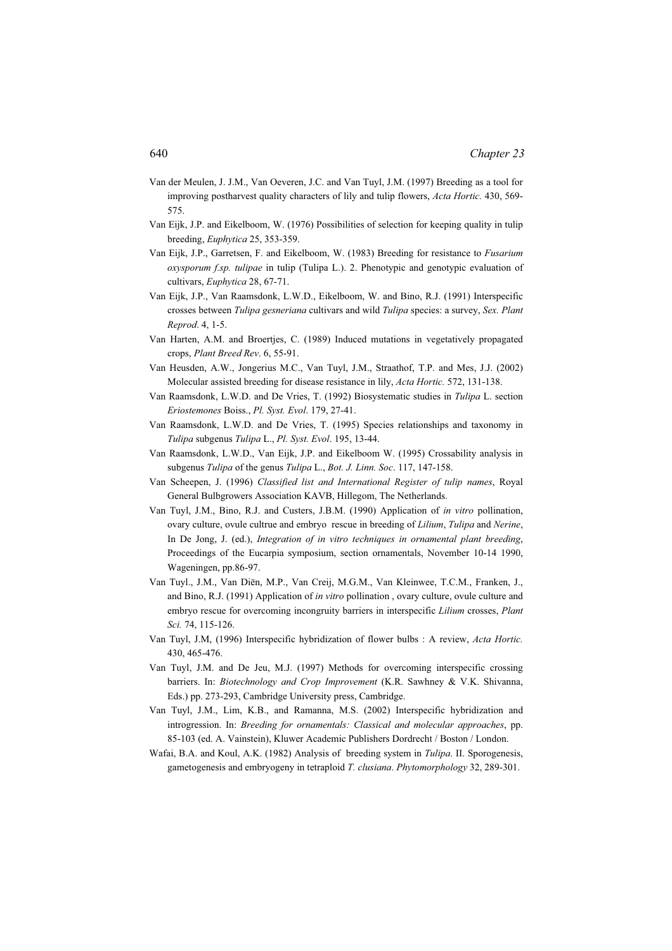- Van der Meulen, J. J.M., Van Oeveren, J.C. and Van Tuyl, J.M. (1997) Breeding as a tool for improving postharvest quality characters of lily and tulip flowers, *Acta Hortic.* 430, 569- 575.
- Van Eijk, J.P. and Eikelboom, W. (1976) Possibilities of selection for keeping quality in tulip breeding, *Euphytica* 25, 353-359.
- Van Eijk, J.P., Garretsen, F. and Eikelboom, W. (1983) Breeding for resistance to *Fusarium oxysporum f.sp. tulipae* in tulip (Tulipa L.). 2. Phenotypic and genotypic evaluation of cultivars, *Euphytica* 28, 67-71.
- Van Eijk, J.P., Van Raamsdonk, L.W.D., Eikelboom, W. and Bino, R.J. (1991) Interspecific crosses between *Tulipa gesneriana* cultivars and wild *Tulipa* species: a survey, *Sex. Plant Reprod*. 4, 1-5.
- Van Harten, A.M. and Broertjes, C. (1989) Induced mutations in vegetatively propagated crops, *Plant Breed Rev*. 6, 55-91.
- Van Heusden, A.W., Jongerius M.C., Van Tuyl, J.M., Straathof, T.P. and Mes, J.J. (2002) Molecular assisted breeding for disease resistance in lily, *Acta Hortic.* 572, 131-138.
- Van Raamsdonk, L.W.D. and De Vries, T. (1992) Biosystematic studies in *Tulipa* L. section *Eriostemones* Boiss., *Pl. Syst. Evol*. 179, 27-41.
- Van Raamsdonk, L.W.D. and De Vries, T. (1995) Species relationships and taxonomy in *Tulipa* subgenus *Tulipa* L., *Pl. Syst. Evol*. 195, 13-44.
- Van Raamsdonk, L.W.D., Van Eijk, J.P. and Eikelboom W. (1995) Crossability analysis in subgenus *Tulipa* of the genus *Tulipa* L., *Bot. J. Linn. Soc*. 117, 147-158.
- Van Scheepen, J. (1996) *Classified list and International Register of tulip names*, Royal General Bulbgrowers Association KAVB, Hillegom, The Netherlands.
- Van Tuyl, J.M., Bino, R.J. and Custers, J.B.M. (1990) Application of *in vitro* pollination, ovary culture, ovule cultrue and embryo rescue in breeding of *Lilium*, *Tulipa* and *Nerine*, In De Jong, J. (ed.), *Integration of in vitro techniques in ornamental plant breeding*, Proceedings of the Eucarpia symposium, section ornamentals, November 10-14 1990, Wageningen, pp.86-97.
- Van Tuyl., J.M., Van Diën, M.P., Van Creij, M.G.M., Van Kleinwee, T.C.M., Franken, J., and Bino, R.J. (1991) Application of *in vitro* pollination , ovary culture, ovule culture and embryo rescue for overcoming incongruity barriers in interspecific *Lilium* crosses, *Plant Sci.* 74, 115-126.
- Van Tuyl, J.M, (1996) Interspecific hybridization of flower bulbs : A review, *Acta Hortic.* 430, 465-476.
- Van Tuyl, J.M. and De Jeu, M.J. (1997) Methods for overcoming interspecific crossing barriers. In: *Biotechnology and Crop Improvement* (K.R. Sawhney & V.K. Shivanna, Eds.) pp. 273-293, Cambridge University press, Cambridge.
- Van Tuyl, J.M., Lim, K.B., and Ramanna, M.S. (2002) Interspecific hybridization and introgression. In: *Breeding for ornamentals: Classical and molecular approaches*, pp. 85-103 (ed. A. Vainstein), Kluwer Academic Publishers Dordrecht / Boston / London.
- Wafai, B.A. and Koul, A.K. (1982) Analysis of breeding system in *Tulipa*. II. Sporogenesis, gametogenesis and embryogeny in tetraploid *T. clusiana*. *Phytomorphology* 32, 289-301.